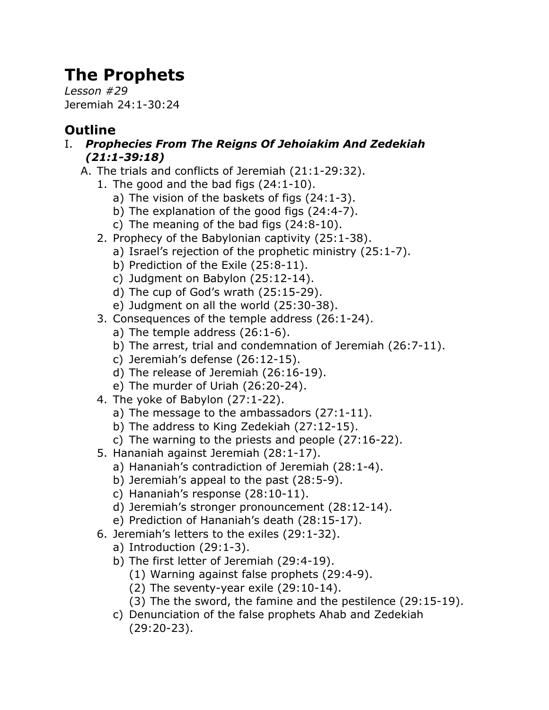## **The Prophets**

*Lesson #29* Jeremiah 24:1-30:24

## **Outline**

- I. *Prophecies From The Reigns Of Jehoiakim And Zedekiah (21:1-39:18)*
	- A. The trials and conflicts of Jeremiah (21:1-29:32).
		- 1. The good and the bad figs (24:1-10).
			- a) The vision of the baskets of figs (24:1-3).
			- b) The explanation of the good figs (24:4-7).
			- c) The meaning of the bad figs (24:8-10).
		- 2. Prophecy of the Babylonian captivity (25:1-38).
			- a) Israel's rejection of the prophetic ministry (25:1-7).
			- b) Prediction of the Exile (25:8-11).
			- c) Judgment on Babylon (25:12-14).
			- d) The cup of God's wrath (25:15-29).
			- e) Judgment on all the world (25:30-38).
		- 3. Consequences of the temple address (26:1-24).
			- a) The temple address (26:1-6).
			- b) The arrest, trial and condemnation of Jeremiah (26:7-11).
			- c) Jeremiah's defense (26:12-15).
			- d) The release of Jeremiah (26:16-19).
			- e) The murder of Uriah (26:20-24).
		- 4. The yoke of Babylon (27:1-22).
			- a) The message to the ambassadors (27:1-11).
			- b) The address to King Zedekiah (27:12-15).
			- c) The warning to the priests and people (27:16-22).
		- 5. Hananiah against Jeremiah (28:1-17).
			- a) Hananiah's contradiction of Jeremiah (28:1-4).
			- b) Jeremiah's appeal to the past (28:5-9).
			- c) Hananiah's response (28:10-11).
			- d) Jeremiah's stronger pronouncement (28:12-14).
			- e) Prediction of Hananiah's death (28:15-17).
		- 6. Jeremiah's letters to the exiles (29:1-32).
			- a) Introduction (29:1-3).
			- b) The first letter of Jeremiah (29:4-19).
				- (1) Warning against false prophets (29:4-9).
				- (2) The seventy-year exile (29:10-14).
				- (3) The the sword, the famine and the pestilence (29:15-19).
			- c) Denunciation of the false prophets Ahab and Zedekiah (29:20-23).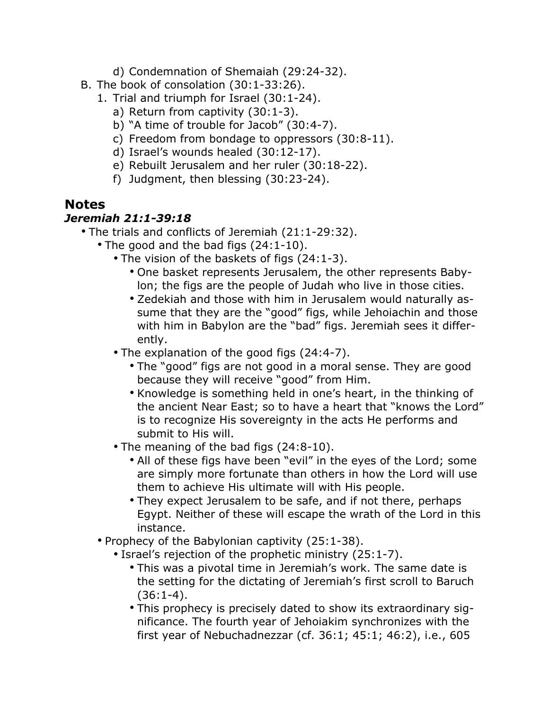- d) Condemnation of Shemaiah (29:24-32).
- B. The book of consolation (30:1-33:26).
	- 1. Trial and triumph for Israel (30:1-24).
		- a) Return from captivity (30:1-3).
		- b) "A time of trouble for Jacob" (30:4-7).
		- c) Freedom from bondage to oppressors (30:8-11).
		- d) Israel's wounds healed (30:12-17).
		- e) Rebuilt Jerusalem and her ruler (30:18-22).
		- f) Judgment, then blessing (30:23-24).

## **Notes**

## *Jeremiah 21:1-39:18*

- The trials and conflicts of Jeremiah (21:1-29:32).
	- The good and the bad figs (24:1-10).
		- The vision of the baskets of figs (24:1-3).
			- One basket represents Jerusalem, the other represents Babylon; the figs are the people of Judah who live in those cities.
			- Zedekiah and those with him in Jerusalem would naturally assume that they are the "good" figs, while Jehoiachin and those with him in Babylon are the "bad" figs. Jeremiah sees it differently.
		- The explanation of the good figs (24:4-7).
			- The "good" figs are not good in a moral sense. They are good because they will receive "good" from Him.
			- Knowledge is something held in one's heart, in the thinking of the ancient Near East; so to have a heart that "knows the Lord" is to recognize His sovereignty in the acts He performs and submit to His will.
		- The meaning of the bad figs (24:8-10).
			- All of these figs have been "evil" in the eyes of the Lord; some are simply more fortunate than others in how the Lord will use them to achieve His ultimate will with His people.
			- They expect Jerusalem to be safe, and if not there, perhaps Egypt. Neither of these will escape the wrath of the Lord in this instance.
	- Prophecy of the Babylonian captivity (25:1-38).
		- Israel's rejection of the prophetic ministry (25:1-7).
			- This was a pivotal time in Jeremiah's work. The same date is the setting for the dictating of Jeremiah's first scroll to Baruch  $(36:1-4).$
			- This prophecy is precisely dated to show its extraordinary significance. The fourth year of Jehoiakim synchronizes with the first year of Nebuchadnezzar (cf. 36:1; 45:1; 46:2), i.e., 605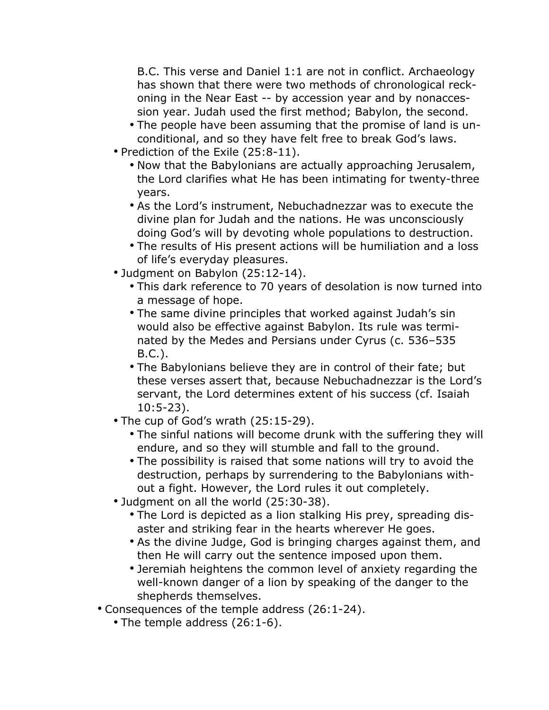B.C. This verse and Daniel 1:1 are not in conflict. Archaeology has shown that there were two methods of chronological reckoning in the Near East -- by accession year and by nonaccession year. Judah used the first method; Babylon, the second.

- The people have been assuming that the promise of land is unconditional, and so they have felt free to break God's laws.
- Prediction of the Exile (25:8-11).
	- Now that the Babylonians are actually approaching Jerusalem, the Lord clarifies what He has been intimating for twenty-three years.
	- As the Lord's instrument, Nebuchadnezzar was to execute the divine plan for Judah and the nations. He was unconsciously doing God's will by devoting whole populations to destruction.
	- The results of His present actions will be humiliation and a loss of life's everyday pleasures.
- Judgment on Babylon (25:12-14).
	- This dark reference to 70 years of desolation is now turned into a message of hope.
	- The same divine principles that worked against Judah's sin would also be effective against Babylon. Its rule was terminated by the Medes and Persians under Cyrus (c. 536–535 B.C.).
	- The Babylonians believe they are in control of their fate; but these verses assert that, because Nebuchadnezzar is the Lord's servant, the Lord determines extent of his success (cf. Isaiah 10:5-23).
- The cup of God's wrath (25:15-29).
	- The sinful nations will become drunk with the suffering they will endure, and so they will stumble and fall to the ground.
	- The possibility is raised that some nations will try to avoid the destruction, perhaps by surrendering to the Babylonians without a fight. However, the Lord rules it out completely.
- Judgment on all the world (25:30-38).
	- The Lord is depicted as a lion stalking His prey, spreading disaster and striking fear in the hearts wherever He goes.
	- As the divine Judge, God is bringing charges against them, and then He will carry out the sentence imposed upon them.
	- Jeremiah heightens the common level of anxiety regarding the well-known danger of a lion by speaking of the danger to the shepherds themselves.
- Consequences of the temple address (26:1-24).
	- The temple address (26:1-6).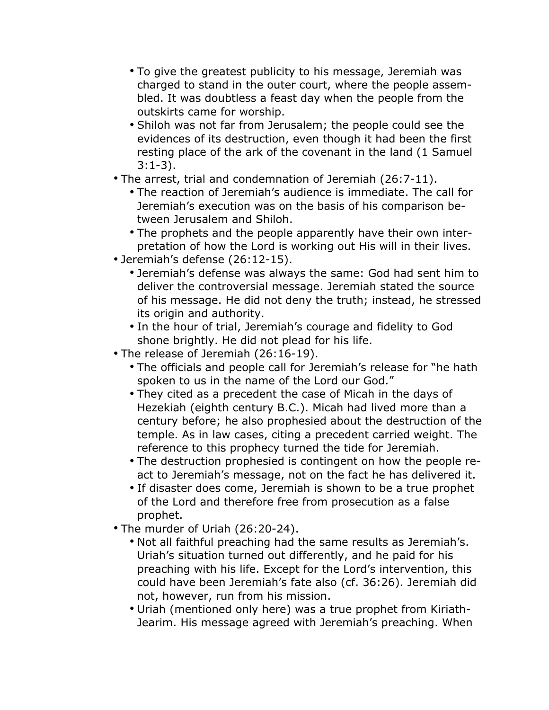- To give the greatest publicity to his message, Jeremiah was charged to stand in the outer court, where the people assembled. It was doubtless a feast day when the people from the outskirts came for worship.
- Shiloh was not far from Jerusalem; the people could see the evidences of its destruction, even though it had been the first resting place of the ark of the covenant in the land (1 Samuel 3:1-3).
- The arrest, trial and condemnation of Jeremiah (26:7-11).
	- The reaction of Jeremiah's audience is immediate. The call for Jeremiah's execution was on the basis of his comparison between Jerusalem and Shiloh.
	- The prophets and the people apparently have their own interpretation of how the Lord is working out His will in their lives.
- Jeremiah's defense (26:12-15).
	- Jeremiah's defense was always the same: God had sent him to deliver the controversial message. Jeremiah stated the source of his message. He did not deny the truth; instead, he stressed its origin and authority.
	- In the hour of trial, Jeremiah's courage and fidelity to God shone brightly. He did not plead for his life.
- The release of Jeremiah (26:16-19).
	- The officials and people call for Jeremiah's release for "he hath spoken to us in the name of the Lord our God."
	- They cited as a precedent the case of Micah in the days of Hezekiah (eighth century B.C.). Micah had lived more than a century before; he also prophesied about the destruction of the temple. As in law cases, citing a precedent carried weight. The reference to this prophecy turned the tide for Jeremiah.
	- The destruction prophesied is contingent on how the people react to Jeremiah's message, not on the fact he has delivered it.
	- If disaster does come, Jeremiah is shown to be a true prophet of the Lord and therefore free from prosecution as a false prophet.
- The murder of Uriah (26:20-24).
	- Not all faithful preaching had the same results as Jeremiah's. Uriah's situation turned out differently, and he paid for his preaching with his life. Except for the Lord's intervention, this could have been Jeremiah's fate also (cf. 36:26). Jeremiah did not, however, run from his mission.
	- Uriah (mentioned only here) was a true prophet from Kiriath-Jearim. His message agreed with Jeremiah's preaching. When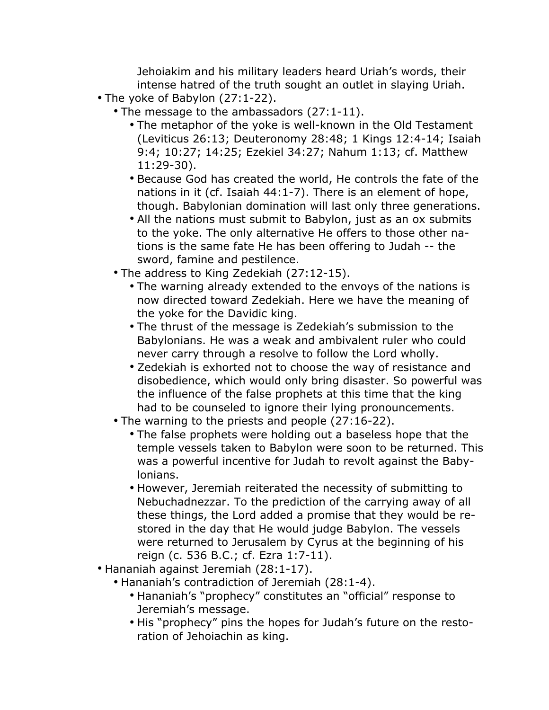Jehoiakim and his military leaders heard Uriah's words, their intense hatred of the truth sought an outlet in slaying Uriah.

- The yoke of Babylon (27:1-22).
	- The message to the ambassadors (27:1-11).
		- The metaphor of the yoke is well-known in the Old Testament (Leviticus 26:13; Deuteronomy 28:48; 1 Kings 12:4-14; Isaiah 9:4; 10:27; 14:25; Ezekiel 34:27; Nahum 1:13; cf. Matthew 11:29-30).
		- Because God has created the world, He controls the fate of the nations in it (cf. Isaiah 44:1-7). There is an element of hope, though. Babylonian domination will last only three generations.
		- All the nations must submit to Babylon, just as an ox submits to the yoke. The only alternative He offers to those other nations is the same fate He has been offering to Judah -- the sword, famine and pestilence.
	- The address to King Zedekiah (27:12-15).
		- The warning already extended to the envoys of the nations is now directed toward Zedekiah. Here we have the meaning of the yoke for the Davidic king.
		- The thrust of the message is Zedekiah's submission to the Babylonians. He was a weak and ambivalent ruler who could never carry through a resolve to follow the Lord wholly.
		- Zedekiah is exhorted not to choose the way of resistance and disobedience, which would only bring disaster. So powerful was the influence of the false prophets at this time that the king had to be counseled to ignore their lying pronouncements.
	- The warning to the priests and people (27:16-22).
		- The false prophets were holding out a baseless hope that the temple vessels taken to Babylon were soon to be returned. This was a powerful incentive for Judah to revolt against the Babylonians.
		- However, Jeremiah reiterated the necessity of submitting to Nebuchadnezzar. To the prediction of the carrying away of all these things, the Lord added a promise that they would be restored in the day that He would judge Babylon. The vessels were returned to Jerusalem by Cyrus at the beginning of his reign (c. 536 B.C.; cf. Ezra 1:7-11).
- Hananiah against Jeremiah (28:1-17).
	- Hananiah's contradiction of Jeremiah (28:1-4).
		- Hananiah's "prophecy" constitutes an "official" response to Jeremiah's message.
		- His "prophecy" pins the hopes for Judah's future on the restoration of Jehoiachin as king.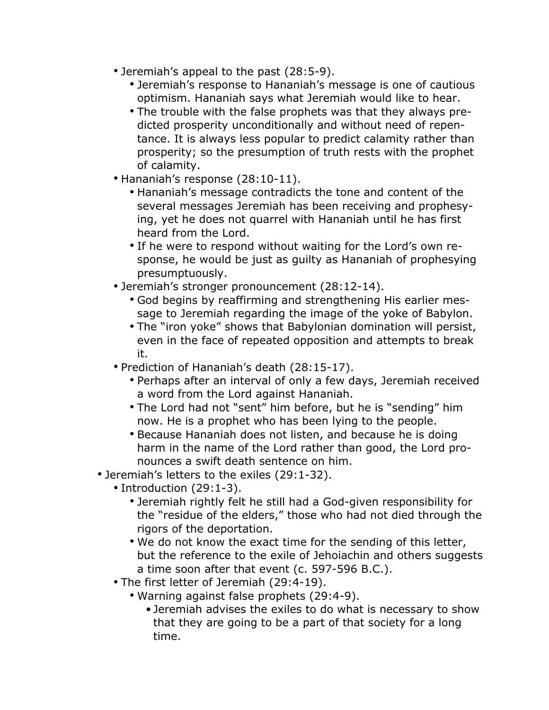- Jeremiah's appeal to the past (28:5-9).
	- Jeremiah's response to Hananiah's message is one of cautious optimism. Hananiah says what Jeremiah would like to hear.
	- The trouble with the false prophets was that they always predicted prosperity unconditionally and without need of repentance. It is always less popular to predict calamity rather than prosperity; so the presumption of truth rests with the prophet of calamity.
- Hananiah's response (28:10-11).
	- Hananiah's message contradicts the tone and content of the several messages Jeremiah has been receiving and prophesying, yet he does not quarrel with Hananiah until he has first heard from the Lord.
	- If he were to respond without waiting for the Lord's own response, he would be just as guilty as Hananiah of prophesying presumptuously.
- Jeremiah's stronger pronouncement (28:12-14).
	- God begins by reaffirming and strengthening His earlier message to Jeremiah regarding the image of the yoke of Babylon.
	- The "iron yoke" shows that Babylonian domination will persist, even in the face of repeated opposition and attempts to break it.
- Prediction of Hananiah's death (28:15-17).
	- Perhaps after an interval of only a few days, Jeremiah received a word from the Lord against Hananiah.
	- The Lord had not "sent" him before, but he is "sending" him now. He is a prophet who has been lying to the people.
	- Because Hananiah does not listen, and because he is doing harm in the name of the Lord rather than good, the Lord pronounces a swift death sentence on him.
- Jeremiah's letters to the exiles (29:1-32).
	- Introduction (29:1-3).
		- Jeremiah rightly felt he still had a God-given responsibility for the "residue of the elders," those who had not died through the rigors of the deportation.
		- We do not know the exact time for the sending of this letter, but the reference to the exile of Jehoiachin and others suggests a time soon after that event (c. 597-596 B.C.).
	- The first letter of Jeremiah (29:4-19).
		- Warning against false prophets (29:4-9).
			- •Jeremiah advises the exiles to do what is necessary to show that they are going to be a part of that society for a long time.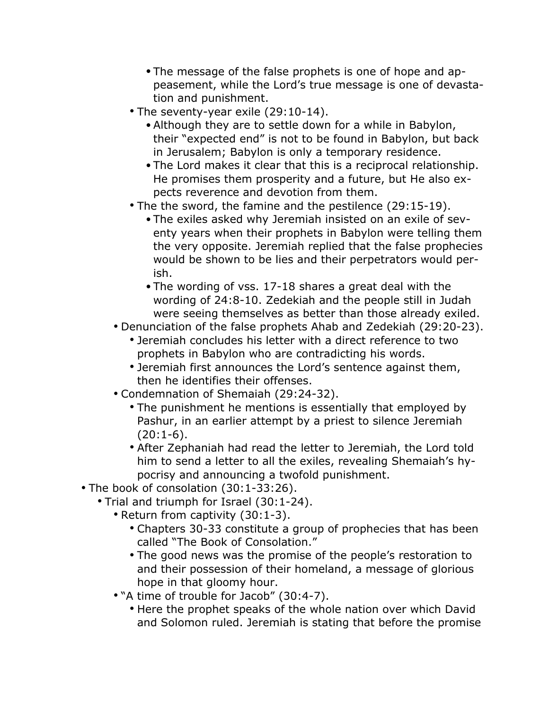- •The message of the false prophets is one of hope and appeasement, while the Lord's true message is one of devastation and punishment.
- The seventy-year exile (29:10-14).
	- •Although they are to settle down for a while in Babylon, their "expected end" is not to be found in Babylon, but back in Jerusalem; Babylon is only a temporary residence.
	- •The Lord makes it clear that this is a reciprocal relationship. He promises them prosperity and a future, but He also expects reverence and devotion from them.
- The the sword, the famine and the pestilence (29:15-19).
	- •The exiles asked why Jeremiah insisted on an exile of seventy years when their prophets in Babylon were telling them the very opposite. Jeremiah replied that the false prophecies would be shown to be lies and their perpetrators would perish.
	- •The wording of vss. 17-18 shares a great deal with the wording of 24:8-10. Zedekiah and the people still in Judah were seeing themselves as better than those already exiled.
- Denunciation of the false prophets Ahab and Zedekiah (29:20-23).
	- Jeremiah concludes his letter with a direct reference to two prophets in Babylon who are contradicting his words.
	- Jeremiah first announces the Lord's sentence against them, then he identifies their offenses.
- Condemnation of Shemaiah (29:24-32).
	- The punishment he mentions is essentially that employed by Pashur, in an earlier attempt by a priest to silence Jeremiah  $(20:1-6)$ .
	- After Zephaniah had read the letter to Jeremiah, the Lord told him to send a letter to all the exiles, revealing Shemaiah's hypocrisy and announcing a twofold punishment.
- The book of consolation (30:1-33:26).
	- Trial and triumph for Israel (30:1-24).
		- Return from captivity (30:1-3).
			- Chapters 30-33 constitute a group of prophecies that has been called "The Book of Consolation."
			- The good news was the promise of the people's restoration to and their possession of their homeland, a message of glorious hope in that gloomy hour.
		- "A time of trouble for Jacob" (30:4-7).
			- Here the prophet speaks of the whole nation over which David and Solomon ruled. Jeremiah is stating that before the promise